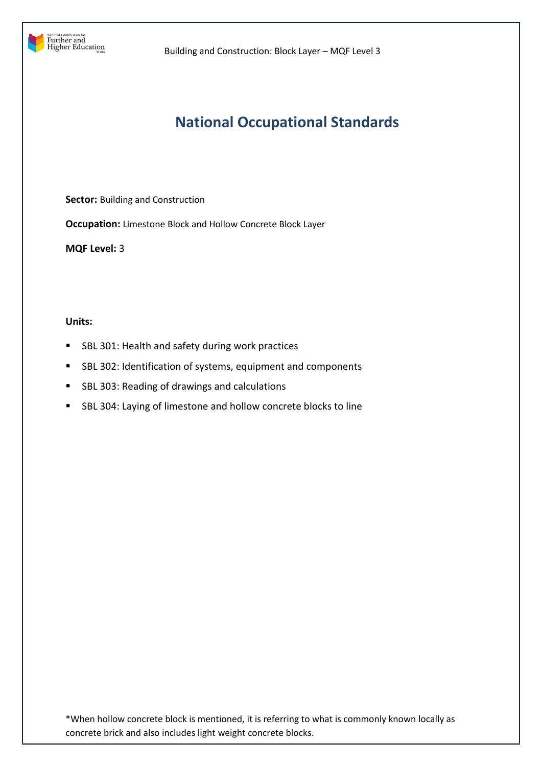

# **National Occupational Standards**

**Sector:** Building and Construction

**Occupation:** Limestone Block and Hollow Concrete Block Layer

**MQF Level:** 3

# **Units:**

- **SBL 301: Health and safety during work practices**
- SBL 302: Identification of systems, equipment and components
- SBL 303: Reading of drawings and calculations
- SBL 304: Laying of limestone and hollow concrete blocks to line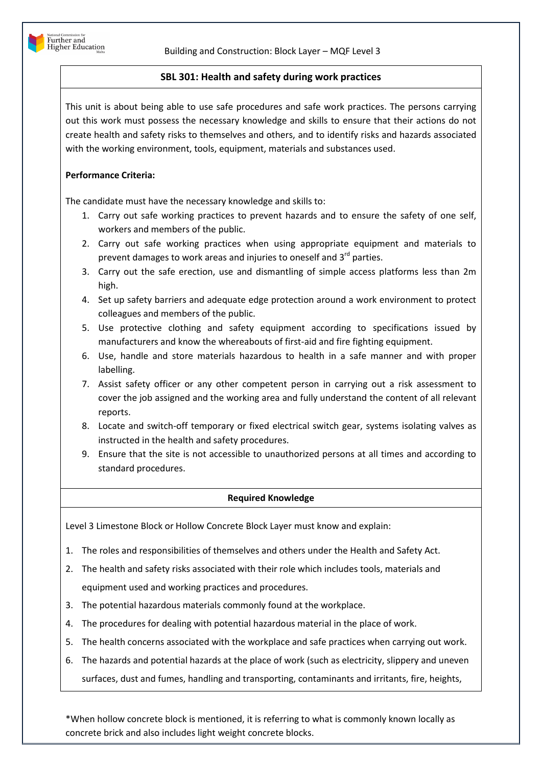# **SBL 301: Health and safety during work practices**

This unit is about being able to use safe procedures and safe work practices. The persons carrying out this work must possess the necessary knowledge and skills to ensure that their actions do not create health and safety risks to themselves and others, and to identify risks and hazards associated with the working environment, tools, equipment, materials and substances used.

# **Performance Criteria:**

The candidate must have the necessary knowledge and skills to:

- 1. Carry out safe working practices to prevent hazards and to ensure the safety of one self, workers and members of the public.
- 2. Carry out safe working practices when using appropriate equipment and materials to prevent damages to work areas and injuries to oneself and  $3^{rd}$  parties.
- 3. Carry out the safe erection, use and dismantling of simple access platforms less than 2m high.
- 4. Set up safety barriers and adequate edge protection around a work environment to protect colleagues and members of the public.
- 5. Use protective clothing and safety equipment according to specifications issued by manufacturers and know the whereabouts of first-aid and fire fighting equipment.
- 6. Use, handle and store materials hazardous to health in a safe manner and with proper labelling.
- 7. Assist safety officer or any other competent person in carrying out a risk assessment to cover the job assigned and the working area and fully understand the content of all relevant reports.
- 8. Locate and switch-off temporary or fixed electrical switch gear, systems isolating valves as instructed in the health and safety procedures.
- 9. Ensure that the site is not accessible to unauthorized persons at all times and according to standard procedures.

## **Required Knowledge**

Level 3 Limestone Block or Hollow Concrete Block Layer must know and explain:

- 1. The roles and responsibilities of themselves and others under the Health and Safety Act.
- 2. The health and safety risks associated with their role which includes tools, materials and equipment used and working practices and procedures.
- 3. The potential hazardous materials commonly found at the workplace.
- 4. The procedures for dealing with potential hazardous material in the place of work.
- 5. The health concerns associated with the workplace and safe practices when carrying out work.
- 6. The hazards and potential hazards at the place of work (such as electricity, slippery and uneven surfaces, dust and fumes, handling and transporting, contaminants and irritants, fire, heights,

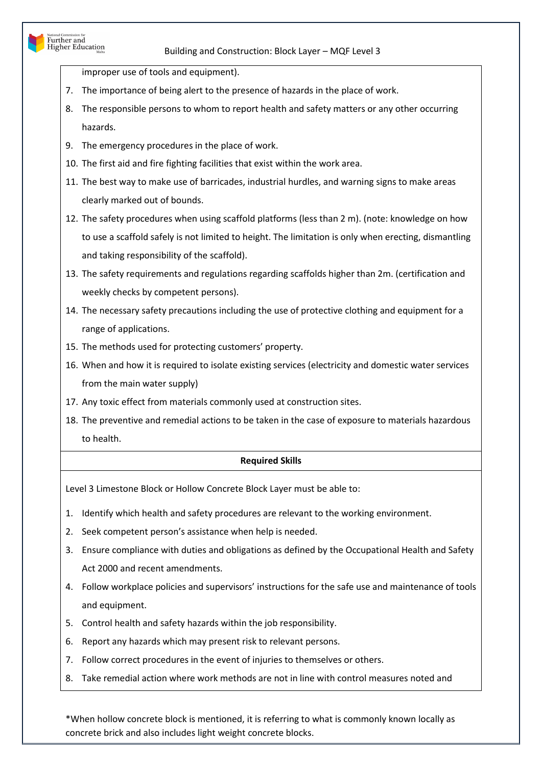improper use of tools and equipment).

National Commission for<br>Further and<br>Higher Education

- 7. The importance of being alert to the presence of hazards in the place of work.
- 8. The responsible persons to whom to report health and safety matters or any other occurring hazards.
- 9. The emergency procedures in the place of work.
- 10. The first aid and fire fighting facilities that exist within the work area.
- 11. The best way to make use of barricades, industrial hurdles, and warning signs to make areas clearly marked out of bounds.
- 12. The safety procedures when using scaffold platforms (less than 2 m). (note: knowledge on how to use a scaffold safely is not limited to height. The limitation is only when erecting, dismantling and taking responsibility of the scaffold).
- 13. The safety requirements and regulations regarding scaffolds higher than 2m. (certification and weekly checks by competent persons).
- 14. The necessary safety precautions including the use of protective clothing and equipment for a range of applications.
- 15. The methods used for protecting customers' property.
- 16. When and how it is required to isolate existing services (electricity and domestic water services from the main water supply)
- 17. Any toxic effect from materials commonly used at construction sites.
- 18. The preventive and remedial actions to be taken in the case of exposure to materials hazardous to health.

# **Required Skills**

Level 3 Limestone Block or Hollow Concrete Block Layer must be able to:

- 1. Identify which health and safety procedures are relevant to the working environment.
- 2. Seek competent person's assistance when help is needed.
- 3. Ensure compliance with duties and obligations as defined by the Occupational Health and Safety Act 2000 and recent amendments.
- 4. Follow workplace policies and supervisors' instructions for the safe use and maintenance of tools and equipment.
- 5. Control health and safety hazards within the job responsibility.
- 6. Report any hazards which may present risk to relevant persons.
- 7. Follow correct procedures in the event of injuries to themselves or others.
- 8. Take remedial action where work methods are not in line with control measures noted and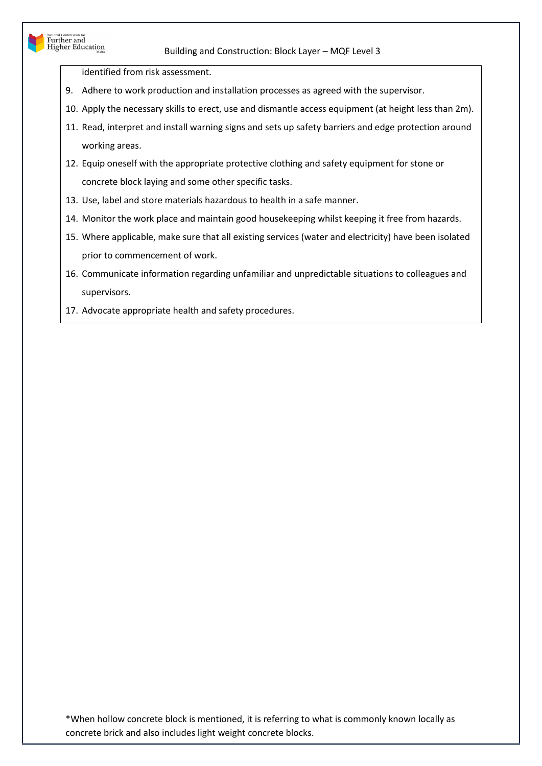identified from risk assessment.

National Commission for<br>Further and<br>Higher Education

- 9. Adhere to work production and installation processes as agreed with the supervisor.
- 10. Apply the necessary skills to erect, use and dismantle access equipment (at height less than 2m).
- 11. Read, interpret and install warning signs and sets up safety barriers and edge protection around working areas.
- 12. Equip oneself with the appropriate protective clothing and safety equipment for stone or concrete block laying and some other specific tasks.
- 13. Use, label and store materials hazardous to health in a safe manner.
- 14. Monitor the work place and maintain good housekeeping whilst keeping it free from hazards.
- 15. Where applicable, make sure that all existing services (water and electricity) have been isolated prior to commencement of work.
- 16. Communicate information regarding unfamiliar and unpredictable situations to colleagues and supervisors.
- 17. Advocate appropriate health and safety procedures.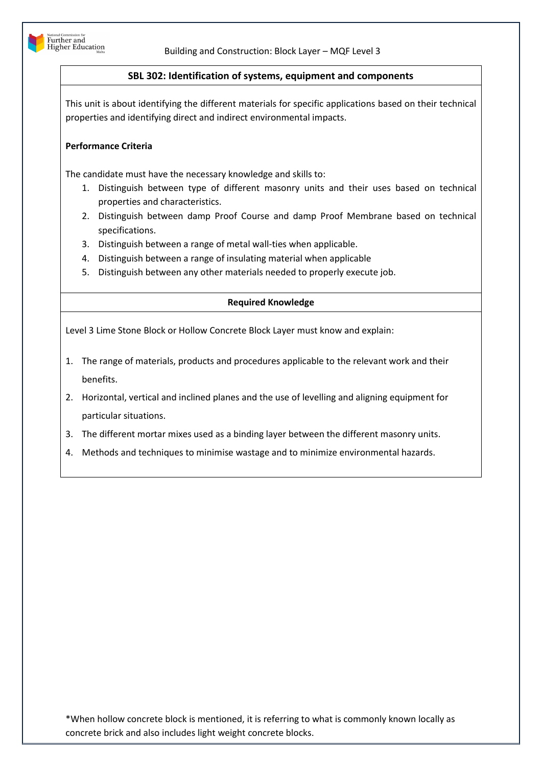

# **SBL 302: Identification of systems, equipment and components**

This unit is about identifying the different materials for specific applications based on their technical properties and identifying direct and indirect environmental impacts.

# **Performance Criteria**

The candidate must have the necessary knowledge and skills to:

- 1. Distinguish between type of different masonry units and their uses based on technical properties and characteristics.
- 2. Distinguish between damp Proof Course and damp Proof Membrane based on technical specifications.
- 3. Distinguish between a range of metal wall-ties when applicable.
- 4. Distinguish between a range of insulating material when applicable
- 5. Distinguish between any other materials needed to properly execute job.

# **Required Knowledge**

Level 3 Lime Stone Block or Hollow Concrete Block Layer must know and explain:

- 1. The range of materials, products and procedures applicable to the relevant work and their benefits.
- 2. Horizontal, vertical and inclined planes and the use of levelling and aligning equipment for particular situations.
- 3. The different mortar mixes used as a binding layer between the different masonry units.
- 4. Methods and techniques to minimise wastage and to minimize environmental hazards.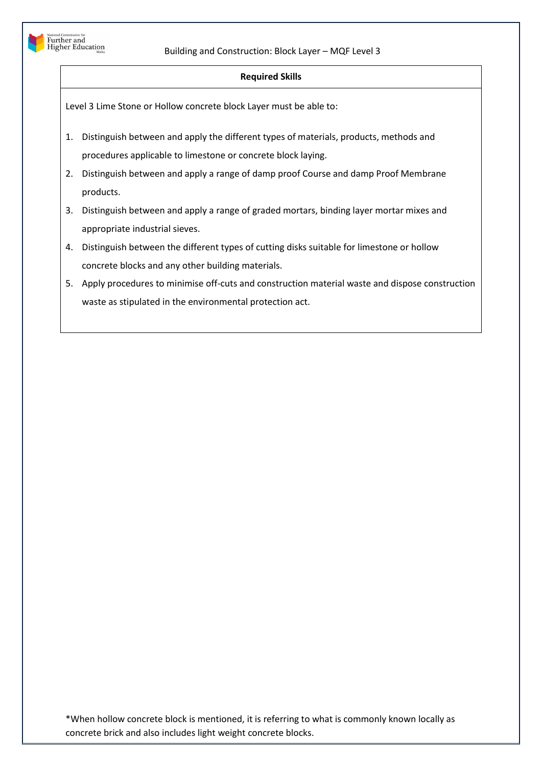

## **Required Skills**

Level 3 Lime Stone or Hollow concrete block Layer must be able to:

- 1. Distinguish between and apply the different types of materials, products, methods and procedures applicable to limestone or concrete block laying.
- 2. Distinguish between and apply a range of damp proof Course and damp Proof Membrane products.
- 3. Distinguish between and apply a range of graded mortars, binding layer mortar mixes and appropriate industrial sieves.
- 4. Distinguish between the different types of cutting disks suitable for limestone or hollow concrete blocks and any other building materials.
- 5. Apply procedures to minimise off-cuts and construction material waste and dispose construction waste as stipulated in the environmental protection act.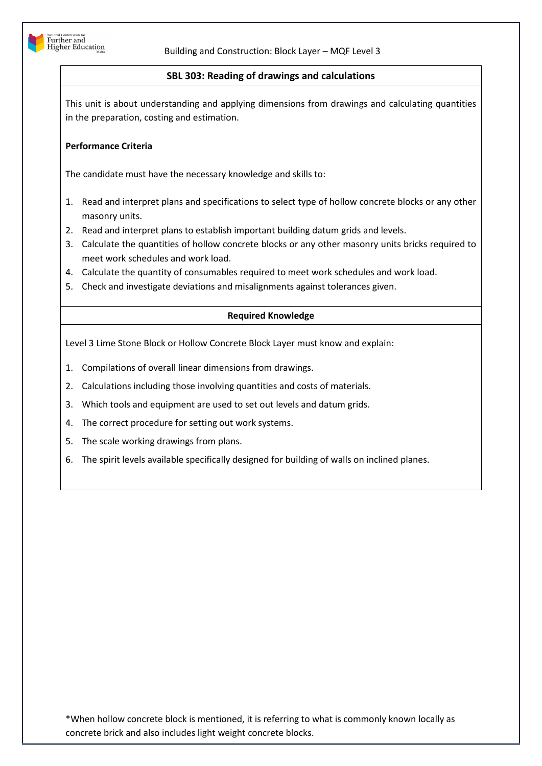

# **SBL 303: Reading of drawings and calculations**

This unit is about understanding and applying dimensions from drawings and calculating quantities in the preparation, costing and estimation.

## **Performance Criteria**

The candidate must have the necessary knowledge and skills to:

- 1. Read and interpret plans and specifications to select type of hollow concrete blocks or any other masonry units.
- 2. Read and interpret plans to establish important building datum grids and levels.
- 3. Calculate the quantities of hollow concrete blocks or any other masonry units bricks required to meet work schedules and work load.
- 4. Calculate the quantity of consumables required to meet work schedules and work load.
- 5. Check and investigate deviations and misalignments against tolerances given.

## **Required Knowledge**

Level 3 Lime Stone Block or Hollow Concrete Block Layer must know and explain:

- 1. Compilations of overall linear dimensions from drawings.
- 2. Calculations including those involving quantities and costs of materials.
- 3. Which tools and equipment are used to set out levels and datum grids.
- 4. The correct procedure for setting out work systems.
- 5. The scale working drawings from plans.
- 6. The spirit levels available specifically designed for building of walls on inclined planes.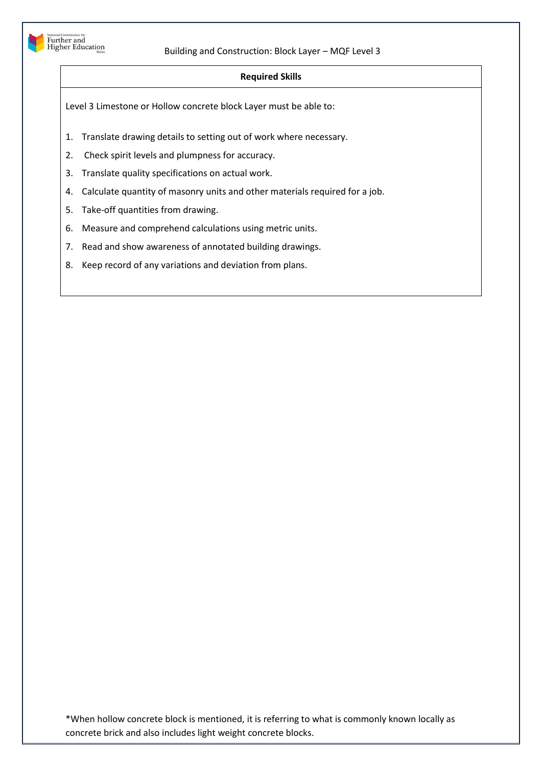

## **Required Skills**

Level 3 Limestone or Hollow concrete block Layer must be able to:

- 1. Translate drawing details to setting out of work where necessary.
- 2. Check spirit levels and plumpness for accuracy.
- 3. Translate quality specifications on actual work.
- 4. Calculate quantity of masonry units and other materials required for a job.
- 5. Take-off quantities from drawing.
- 6. Measure and comprehend calculations using metric units.
- 7. Read and show awareness of annotated building drawings.
- 8. Keep record of any variations and deviation from plans.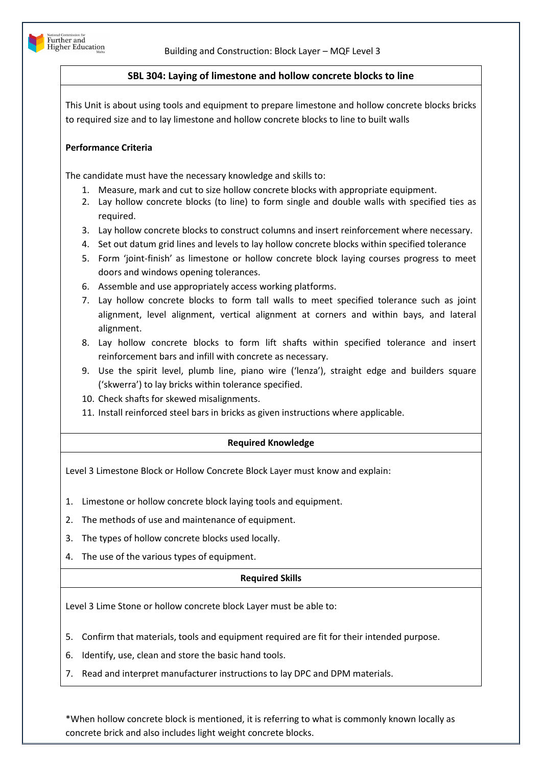

# **SBL 304: Laying of limestone and hollow concrete blocks to line**

This Unit is about using tools and equipment to prepare limestone and hollow concrete blocks bricks to required size and to lay limestone and hollow concrete blocks to line to built walls

## **Performance Criteria**

The candidate must have the necessary knowledge and skills to:

- 1. Measure, mark and cut to size hollow concrete blocks with appropriate equipment.
- 2. Lay hollow concrete blocks (to line) to form single and double walls with specified ties as required.
- 3. Lay hollow concrete blocks to construct columns and insert reinforcement where necessary.
- 4. Set out datum grid lines and levels to lay hollow concrete blocks within specified tolerance
- 5. Form 'joint-finish' as limestone or hollow concrete block laying courses progress to meet doors and windows opening tolerances.
- 6. Assemble and use appropriately access working platforms.
- 7. Lay hollow concrete blocks to form tall walls to meet specified tolerance such as joint alignment, level alignment, vertical alignment at corners and within bays, and lateral alignment.
- 8. Lay hollow concrete blocks to form lift shafts within specified tolerance and insert reinforcement bars and infill with concrete as necessary.
- 9. Use the spirit level, plumb line, piano wire ('lenza'), straight edge and builders square ('skwerra') to lay bricks within tolerance specified.
- 10. Check shafts for skewed misalignments.
- 11. Install reinforced steel bars in bricks as given instructions where applicable.

## **Required Knowledge**

Level 3 Limestone Block or Hollow Concrete Block Layer must know and explain:

- 1. Limestone or hollow concrete block laying tools and equipment.
- 2. The methods of use and maintenance of equipment.
- 3. The types of hollow concrete blocks used locally.
- 4. The use of the various types of equipment.

## **Required Skills**

Level 3 Lime Stone or hollow concrete block Layer must be able to:

- 5. Confirm that materials, tools and equipment required are fit for their intended purpose.
- 6. Identify, use, clean and store the basic hand tools.
- 7. Read and interpret manufacturer instructions to lay DPC and DPM materials.